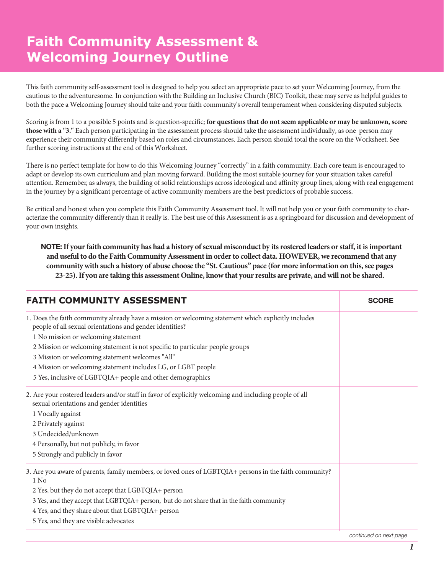## **Faith Community Assessment & Welcoming Journey Outline**

This faith community self-assessment tool is designed to help you select an appropriate pace to set your Welcoming Journey, from the cautious to the adventuresome. In conjunction with the Building an Inclusive Church (BIC) Toolkit, these may serve as helpful guides to both the pace a Welcoming Journey should take and your faith community's overall temperament when considering disputed subjects.

Scoring is from 1 to a possible 5 points and is question-specific; **for questions that do not seem applicable or may be unknown, score those with a "3."** Each person participating in the assessment process should take the assessment individually, as one person may experience their community differently based on roles and circumstances. Each person should total the score on the Worksheet. See further scoring instructions at the end of this Worksheet.

There is no perfect template for how to do this Welcoming Journey "correctly" in a faith community. Each core team is encouraged to adapt or develop its own curriculum and plan moving forward. Building the most suitable journey for your situation takes careful attention. Remember, as always, the building of solid relationships across ideological and affinity group lines, along with real engagement in the journey by a significant percentage of active community members are the best predictors of probable success.

Be critical and honest when you complete this Faith Community Assessment tool. It will not help you or your faith community to characterize the community differently than it really is. The best use of this Assessment is as a springboard for discussion and development of your own insights.

NOTE: **If your faith community has had a history of sexual misconduct by its rostered leaders or staff, it is important and useful to do the Faith Community Assessment in order to collect data. HOWEVER, we recommend that any community with such a history of abuse choose the "St. Cautious" pace (for more information on this, see pages 23-25). If you are taking this assessment Online, know that your results are private, and will not be shared.**

| <b>FAITH COMMUNITY ASSESSMENT</b>                                                                                                                               | <b>SCORE</b>           |
|-----------------------------------------------------------------------------------------------------------------------------------------------------------------|------------------------|
| 1. Does the faith community already have a mission or welcoming statement which explicitly includes<br>people of all sexual orientations and gender identities? |                        |
| 1 No mission or welcoming statement                                                                                                                             |                        |
| 2 Mission or welcoming statement is not specific to particular people groups                                                                                    |                        |
| 3 Mission or welcoming statement welcomes "All"                                                                                                                 |                        |
| 4 Mission or welcoming statement includes LG, or LGBT people                                                                                                    |                        |
| 5 Yes, inclusive of LGBTQIA+ people and other demographics                                                                                                      |                        |
| 2. Are your rostered leaders and/or staff in favor of explicitly welcoming and including people of all<br>sexual orientations and gender identities             |                        |
| 1 Vocally against                                                                                                                                               |                        |
| 2 Privately against                                                                                                                                             |                        |
| 3 Undecided/unknown                                                                                                                                             |                        |
| 4 Personally, but not publicly, in favor                                                                                                                        |                        |
| 5 Strongly and publicly in favor                                                                                                                                |                        |
| 3. Are you aware of parents, family members, or loved ones of LGBTQIA+ persons in the faith community?<br>1 No                                                  |                        |
| 2 Yes, but they do not accept that LGBTQIA+ person                                                                                                              |                        |
| 3 Yes, and they accept that LGBTQIA+ person, but do not share that in the faith community                                                                       |                        |
| 4 Yes, and they share about that LGBTQIA+ person                                                                                                                |                        |
| 5 Yes, and they are visible advocates                                                                                                                           |                        |
|                                                                                                                                                                 | continued on next page |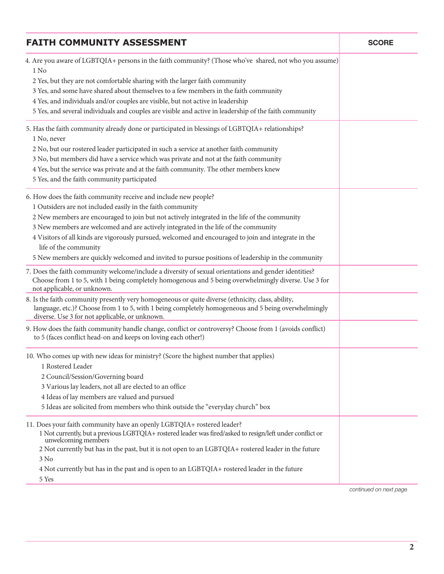| <b>FAITH COMMUNITY ASSESSMENT</b>                                                                                                                                                                                                                          | <b>SCORE</b>           |
|------------------------------------------------------------------------------------------------------------------------------------------------------------------------------------------------------------------------------------------------------------|------------------------|
| 4. Are you aware of LGBTQIA+ persons in the faith community? (Those who've shared, not who you assume)<br>1 No                                                                                                                                             |                        |
| 2 Yes, but they are not comfortable sharing with the larger faith community                                                                                                                                                                                |                        |
| 3 Yes, and some have shared about themselves to a few members in the faith community                                                                                                                                                                       |                        |
| 4 Yes, and individuals and/or couples are visible, but not active in leadership                                                                                                                                                                            |                        |
| 5 Yes, and several individuals and couples are visible and active in leadership of the faith community                                                                                                                                                     |                        |
| 5. Has the faith community already done or participated in blessings of LGBTQIA+ relationships?<br>1 No, never                                                                                                                                             |                        |
| 2 No, but our rostered leader participated in such a service at another faith community                                                                                                                                                                    |                        |
| 3 No, but members did have a service which was private and not at the faith community                                                                                                                                                                      |                        |
| 4 Yes, but the service was private and at the faith community. The other members knew                                                                                                                                                                      |                        |
| 5 Yes, and the faith community participated                                                                                                                                                                                                                |                        |
| 6. How does the faith community receive and include new people?                                                                                                                                                                                            |                        |
| 1 Outsiders are not included easily in the faith community                                                                                                                                                                                                 |                        |
| 2 New members are encouraged to join but not actively integrated in the life of the community                                                                                                                                                              |                        |
| 3 New members are welcomed and are actively integrated in the life of the community                                                                                                                                                                        |                        |
| 4 Visitors of all kinds are vigorously pursued, welcomed and encouraged to join and integrate in the<br>life of the community                                                                                                                              |                        |
| 5 New members are quickly welcomed and invited to pursue positions of leadership in the community                                                                                                                                                          |                        |
| 7. Does the faith community welcome/include a diversity of sexual orientations and gender identities?<br>Choose from 1 to 5, with 1 being completely homogenous and 5 being overwhelmingly diverse. Use 3 for<br>not applicable, or unknown.               |                        |
| 8. Is the faith community presently very homogeneous or quite diverse (ethnicity, class, ability,<br>language, etc.)? Choose from 1 to 5, with 1 being completely homogeneous and 5 being overwhelmingly<br>diverse. Use 3 for not applicable, or unknown. |                        |
| 9. How does the faith community handle change, conflict or controversy? Choose from 1 (avoids conflict)<br>to 5 (faces conflict head-on and keeps on loving each other!)                                                                                   |                        |
| 10. Who comes up with new ideas for ministry? (Score the highest number that applies)<br>1 Rostered Leader                                                                                                                                                 |                        |
| 2 Council/Session/Governing board                                                                                                                                                                                                                          |                        |
| 3 Various lay leaders, not all are elected to an office                                                                                                                                                                                                    |                        |
| 4 Ideas of lay members are valued and pursued                                                                                                                                                                                                              |                        |
| 5 Ideas are solicited from members who think outside the "everyday church" box                                                                                                                                                                             |                        |
| 11. Does your faith community have an openly LGBTQIA+ rostered leader?<br>1 Not currently, but a previous LGBTQIA+ rostered leader was fired/asked to resign/left under conflict or<br>unwelcoming members                                                 |                        |
| 2 Not currently but has in the past, but it is not open to an LGBTQIA+ rostered leader in the future                                                                                                                                                       |                        |
| 3 No                                                                                                                                                                                                                                                       |                        |
| 4 Not currently but has in the past and is open to an LGBTQIA+ rostered leader in the future                                                                                                                                                               |                        |
| 5 Yes                                                                                                                                                                                                                                                      | continued on next nage |

*continued on next page*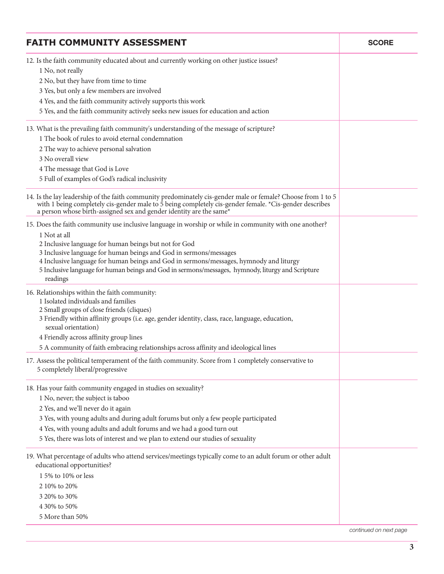| <b>FAITH COMMUNITY ASSESSMENT</b>                                                                                                                                                                                                                                                             | <b>SCORE</b> |
|-----------------------------------------------------------------------------------------------------------------------------------------------------------------------------------------------------------------------------------------------------------------------------------------------|--------------|
| 12. Is the faith community educated about and currently working on other justice issues?<br>1 No, not really                                                                                                                                                                                  |              |
| 2 No, but they have from time to time                                                                                                                                                                                                                                                         |              |
| 3 Yes, but only a few members are involved                                                                                                                                                                                                                                                    |              |
| 4 Yes, and the faith community actively supports this work                                                                                                                                                                                                                                    |              |
| 5 Yes, and the faith community actively seeks new issues for education and action                                                                                                                                                                                                             |              |
| 13. What is the prevailing faith community's understanding of the message of scripture?                                                                                                                                                                                                       |              |
| 1 The book of rules to avoid eternal condemnation                                                                                                                                                                                                                                             |              |
| 2 The way to achieve personal salvation                                                                                                                                                                                                                                                       |              |
| 3 No overall view                                                                                                                                                                                                                                                                             |              |
| 4 The message that God is Love                                                                                                                                                                                                                                                                |              |
| 5 Full of examples of God's radical inclusivity                                                                                                                                                                                                                                               |              |
| 14. Is the lay leadership of the faith community predominately cis-gender male or female? Choose from 1 to 5<br>with 1 being completely cis-gender male to 5 being completely cis-gender female. *Cis-gender describes<br>a person whose birth-assigned sex and gender identity are the same* |              |
| 15. Does the faith community use inclusive language in worship or while in community with one another?                                                                                                                                                                                        |              |
| 1 Not at all                                                                                                                                                                                                                                                                                  |              |
| 2 Inclusive language for human beings but not for God                                                                                                                                                                                                                                         |              |
| 3 Inclusive language for human beings and God in sermons/messages                                                                                                                                                                                                                             |              |
| 4 Inclusive language for human beings and God in sermons/messages, hymnody and liturgy                                                                                                                                                                                                        |              |
| 5 Inclusive language for human beings and God in sermons/messages, hymnody, liturgy and Scripture<br>readings                                                                                                                                                                                 |              |
| 16. Relationships within the faith community:                                                                                                                                                                                                                                                 |              |
| 1 Isolated individuals and families                                                                                                                                                                                                                                                           |              |
| 2 Small groups of close friends (cliques)                                                                                                                                                                                                                                                     |              |
| 3 Friendly within affinity groups (i.e. age, gender identity, class, race, language, education,<br>sexual orientation)                                                                                                                                                                        |              |
| 4 Friendly across affinity group lines                                                                                                                                                                                                                                                        |              |
| 5 A community of faith embracing relationships across affinity and ideological lines                                                                                                                                                                                                          |              |
| 17. Assess the political temperament of the faith community. Score from 1 completely conservative to                                                                                                                                                                                          |              |
| 5 completely liberal/progressive                                                                                                                                                                                                                                                              |              |
| 18. Has your faith community engaged in studies on sexuality?                                                                                                                                                                                                                                 |              |
| 1 No, never; the subject is taboo                                                                                                                                                                                                                                                             |              |
| 2 Yes, and we'll never do it again                                                                                                                                                                                                                                                            |              |
| 3 Yes, with young adults and during adult forums but only a few people participated                                                                                                                                                                                                           |              |
| 4 Yes, with young adults and adult forums and we had a good turn out                                                                                                                                                                                                                          |              |
| 5 Yes, there was lots of interest and we plan to extend our studies of sexuality                                                                                                                                                                                                              |              |
| 19. What percentage of adults who attend services/meetings typically come to an adult forum or other adult<br>educational opportunities?                                                                                                                                                      |              |
| 1 5% to 10% or less                                                                                                                                                                                                                                                                           |              |
| 2 10% to 20%                                                                                                                                                                                                                                                                                  |              |
| 3 20% to 30%                                                                                                                                                                                                                                                                                  |              |
| 4 30% to 50%                                                                                                                                                                                                                                                                                  |              |
| 5 More than 50%                                                                                                                                                                                                                                                                               |              |
|                                                                                                                                                                                                                                                                                               |              |

*continued on next page*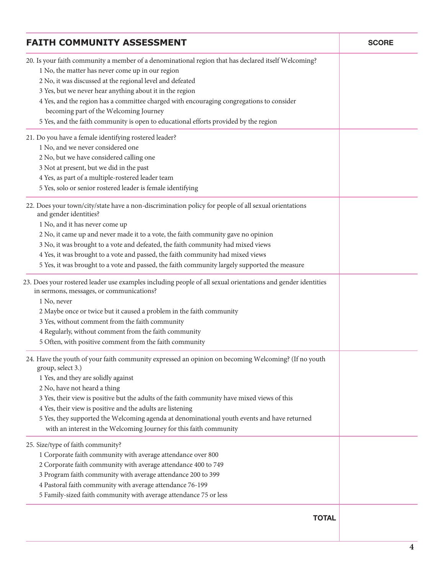| <b>FAITH COMMUNITY ASSESSMENT</b>                                                                                                                                                                                                                                                                                                                                                                                                                                                                              | <b>SCORE</b> |
|----------------------------------------------------------------------------------------------------------------------------------------------------------------------------------------------------------------------------------------------------------------------------------------------------------------------------------------------------------------------------------------------------------------------------------------------------------------------------------------------------------------|--------------|
| 20. Is your faith community a member of a denominational region that has declared itself Welcoming?<br>1 No, the matter has never come up in our region<br>2 No, it was discussed at the regional level and defeated<br>3 Yes, but we never hear anything about it in the region<br>4 Yes, and the region has a committee charged with encouraging congregations to consider<br>becoming part of the Welcoming Journey<br>5 Yes, and the faith community is open to educational efforts provided by the region |              |
| 21. Do you have a female identifying rostered leader?                                                                                                                                                                                                                                                                                                                                                                                                                                                          |              |
| 1 No, and we never considered one                                                                                                                                                                                                                                                                                                                                                                                                                                                                              |              |
| 2 No, but we have considered calling one                                                                                                                                                                                                                                                                                                                                                                                                                                                                       |              |
| 3 Not at present, but we did in the past                                                                                                                                                                                                                                                                                                                                                                                                                                                                       |              |
| 4 Yes, as part of a multiple-rostered leader team                                                                                                                                                                                                                                                                                                                                                                                                                                                              |              |
| 5 Yes, solo or senior rostered leader is female identifying                                                                                                                                                                                                                                                                                                                                                                                                                                                    |              |
| 22. Does your town/city/state have a non-discrimination policy for people of all sexual orientations<br>and gender identities?                                                                                                                                                                                                                                                                                                                                                                                 |              |
| 1 No, and it has never come up                                                                                                                                                                                                                                                                                                                                                                                                                                                                                 |              |
| 2 No, it came up and never made it to a vote, the faith community gave no opinion                                                                                                                                                                                                                                                                                                                                                                                                                              |              |
| 3 No, it was brought to a vote and defeated, the faith community had mixed views                                                                                                                                                                                                                                                                                                                                                                                                                               |              |
| 4 Yes, it was brought to a vote and passed, the faith community had mixed views                                                                                                                                                                                                                                                                                                                                                                                                                                |              |
| 5 Yes, it was brought to a vote and passed, the faith community largely supported the measure                                                                                                                                                                                                                                                                                                                                                                                                                  |              |
| 23. Does your rostered leader use examples including people of all sexual orientations and gender identities<br>in sermons, messages, or communications?<br>1 No, never                                                                                                                                                                                                                                                                                                                                        |              |
| 2 Maybe once or twice but it caused a problem in the faith community                                                                                                                                                                                                                                                                                                                                                                                                                                           |              |
| 3 Yes, without comment from the faith community                                                                                                                                                                                                                                                                                                                                                                                                                                                                |              |
| 4 Regularly, without comment from the faith community                                                                                                                                                                                                                                                                                                                                                                                                                                                          |              |
| 5 Often, with positive comment from the faith community                                                                                                                                                                                                                                                                                                                                                                                                                                                        |              |
| 24. Have the youth of your faith community expressed an opinion on becoming Welcoming? (If no youth                                                                                                                                                                                                                                                                                                                                                                                                            |              |
| group, select 3.)                                                                                                                                                                                                                                                                                                                                                                                                                                                                                              |              |
| 1 Yes, and they are solidly against                                                                                                                                                                                                                                                                                                                                                                                                                                                                            |              |
| 2 No, have not heard a thing                                                                                                                                                                                                                                                                                                                                                                                                                                                                                   |              |
| 3 Yes, their view is positive but the adults of the faith community have mixed views of this                                                                                                                                                                                                                                                                                                                                                                                                                   |              |
| 4 Yes, their view is positive and the adults are listening                                                                                                                                                                                                                                                                                                                                                                                                                                                     |              |
| 5 Yes, they supported the Welcoming agenda at denominational youth events and have returned                                                                                                                                                                                                                                                                                                                                                                                                                    |              |
| with an interest in the Welcoming Journey for this faith community                                                                                                                                                                                                                                                                                                                                                                                                                                             |              |
| 25. Size/type of faith community?                                                                                                                                                                                                                                                                                                                                                                                                                                                                              |              |
| 1 Corporate faith community with average attendance over 800                                                                                                                                                                                                                                                                                                                                                                                                                                                   |              |
| 2 Corporate faith community with average attendance 400 to 749                                                                                                                                                                                                                                                                                                                                                                                                                                                 |              |
| 3 Program faith community with average attendance 200 to 399                                                                                                                                                                                                                                                                                                                                                                                                                                                   |              |
| 4 Pastoral faith community with average attendance 76-199                                                                                                                                                                                                                                                                                                                                                                                                                                                      |              |
| 5 Family-sized faith community with average attendance 75 or less                                                                                                                                                                                                                                                                                                                                                                                                                                              |              |
| <b>TOTAL</b>                                                                                                                                                                                                                                                                                                                                                                                                                                                                                                   |              |
|                                                                                                                                                                                                                                                                                                                                                                                                                                                                                                                |              |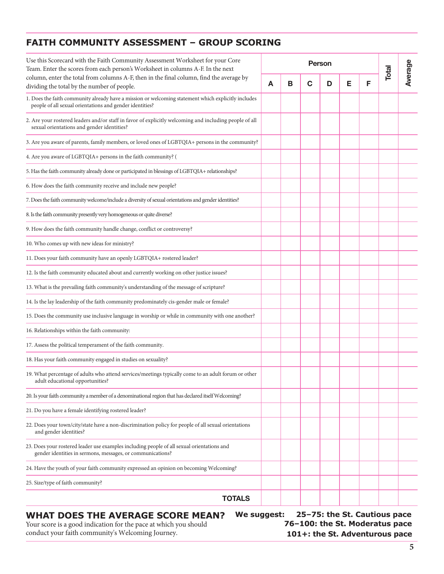#### **FAITH COMMUNITY ASSESSMENT - GROUP SCORING**

| Use this Scorecard with the Faith Community Assessment Worksheet for your Core<br>Person<br>Team. Enter the scores from each person's Worksheet in columns A-F. In the next |   |   | Total       | Average |   |   |  |  |
|-----------------------------------------------------------------------------------------------------------------------------------------------------------------------------|---|---|-------------|---------|---|---|--|--|
| column, enter the total from columns A-F, then in the final column, find the average by<br>dividing the total by the number of people.                                      | A | В | $\mathbf C$ | D       | Е | F |  |  |
| 1. Does the faith community already have a mission or welcoming statement which explicitly includes<br>people of all sexual orientations and gender identities?             |   |   |             |         |   |   |  |  |
| 2. Are your rostered leaders and/or staff in favor of explicitly welcoming and including people of all<br>sexual orientations and gender identities?                        |   |   |             |         |   |   |  |  |
| 3. Are you aware of parents, family members, or loved ones of LGBTQIA+ persons in the community?                                                                            |   |   |             |         |   |   |  |  |
| 4. Are you aware of LGBTQIA+ persons in the faith community? (                                                                                                              |   |   |             |         |   |   |  |  |
| 5. Has the faith community already done or participated in blessings of LGBTQIA+ relationships?                                                                             |   |   |             |         |   |   |  |  |
| 6. How does the faith community receive and include new people?                                                                                                             |   |   |             |         |   |   |  |  |
| 7. Does the faith community welcome/include a diversity of sexual orientations and gender identities?                                                                       |   |   |             |         |   |   |  |  |
| 8. Is the faith community presently very homogeneous or quite diverse?                                                                                                      |   |   |             |         |   |   |  |  |
| 9. How does the faith community handle change, conflict or controversy?                                                                                                     |   |   |             |         |   |   |  |  |
| 10. Who comes up with new ideas for ministry?                                                                                                                               |   |   |             |         |   |   |  |  |
| 11. Does your faith community have an openly LGBTQIA+ rostered leader?                                                                                                      |   |   |             |         |   |   |  |  |
| 12. Is the faith community educated about and currently working on other justice issues?                                                                                    |   |   |             |         |   |   |  |  |
| 13. What is the prevailing faith community's understanding of the message of scripture?                                                                                     |   |   |             |         |   |   |  |  |
| 14. Is the lay leadership of the faith community predominately cis-gender male or female?                                                                                   |   |   |             |         |   |   |  |  |
| 15. Does the community use inclusive language in worship or while in community with one another?                                                                            |   |   |             |         |   |   |  |  |
| 16. Relationships within the faith community:                                                                                                                               |   |   |             |         |   |   |  |  |
| 17. Assess the political temperament of the faith community.                                                                                                                |   |   |             |         |   |   |  |  |
| 18. Has your faith community engaged in studies on sexuality?                                                                                                               |   |   |             |         |   |   |  |  |
| 19. What percentage of adults who attend services/meetings typically come to an adult forum or other<br>adult educational opportunities?                                    |   |   |             |         |   |   |  |  |
| 20. Is your faith community a member of a denominational region that has declared itself Welcoming?                                                                         |   |   |             |         |   |   |  |  |
| 21. Do you have a female identifying rostered leader?                                                                                                                       |   |   |             |         |   |   |  |  |
| 22. Does your town/city/state have a non-discrimination policy for people of all sexual orientations<br>and gender identities?                                              |   |   |             |         |   |   |  |  |
| 23. Does your rostered leader use examples including people of all sexual orientations and<br>gender identities in sermons, messages, or communications?                    |   |   |             |         |   |   |  |  |
| 24. Have the youth of your faith community expressed an opinion on becoming Welcoming?                                                                                      |   |   |             |         |   |   |  |  |
| 25. Size/type of faith community?                                                                                                                                           |   |   |             |         |   |   |  |  |
| <b>TOTALS</b>                                                                                                                                                               |   |   |             |         |   |   |  |  |
|                                                                                                                                                                             |   |   |             |         |   |   |  |  |

### **WHAT DOES THE AVERAGE SCORE MEAN?**

Your score is a good indication for the pace at which you should conduct your faith community's Welcoming Journey.

**We suggest: 25–75: the St. Cautious pace 76–100: the St. Moderatus pace 101+: the St. Adventurous pace**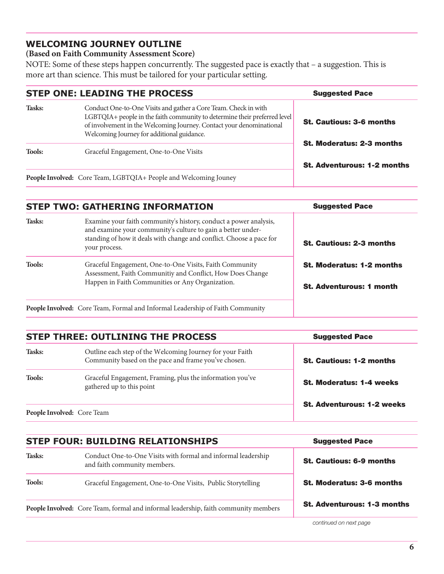#### **WELCOMING JOURNEY OUTLINE**

#### **(Based on Faith Community Assessment Score)**

NOTE: Some of these steps happen concurrently. The suggested pace is exactly that – a suggestion. This is more art than science. This must be tailored for your particular setting.

|               | <b>STEP ONE: LEADING THE PROCESS</b>                                                                                                                                                                                                                               | <b>Suggested Pace</b>              |
|---------------|--------------------------------------------------------------------------------------------------------------------------------------------------------------------------------------------------------------------------------------------------------------------|------------------------------------|
| Tasks:        | Conduct One-to-One Visits and gather a Core Team. Check in with<br>LGBTQIA+ people in the faith community to determine their preferred level<br>of involvement in the Welcoming Journey. Contact your denominational<br>Welcoming Journey for additional guidance. | <b>St. Cautious: 3-6 months</b>    |
| <b>Tools:</b> | Graceful Engagement, One-to-One Visits                                                                                                                                                                                                                             | <b>St. Moderatus: 2-3 months</b>   |
|               | People Involved: Core Team, LGBTQIA+ People and Welcoming Jouney                                                                                                                                                                                                   | <b>St. Adventurous: 1-2 months</b> |

| <b>Suggested Pace</b>                                               |
|---------------------------------------------------------------------|
| <b>St. Cautious: 2-3 months</b>                                     |
| <b>St. Moderatus: 1-2 months</b><br><b>St. Adventurous: 1 month</b> |
|                                                                     |

|               | <b>STEP THREE: OUTLINING THE PROCESS</b>                                                                          | <b>Suggested Pace</b>             |
|---------------|-------------------------------------------------------------------------------------------------------------------|-----------------------------------|
| Tasks:        | Outline each step of the Welcoming Journey for your Faith<br>Community based on the pace and frame you've chosen. | <b>St. Cautious: 1-2 months</b>   |
| <b>Tools:</b> | Graceful Engagement, Framing, plus the information you've<br>gathered up to this point                            | <b>St. Moderatus: 1-4 weeks</b>   |
|               |                                                                                                                   | <b>St. Adventurous: 1-2 weeks</b> |
|               | People Involved: Core Team                                                                                        |                                   |

|               | <b>STEP FOUR: BUILDING RELATIONSHIPS</b>                                                      | <b>Suggested Pace</b>              |
|---------------|-----------------------------------------------------------------------------------------------|------------------------------------|
| Tasks:        | Conduct One-to-One Visits with formal and informal leadership<br>and faith community members. | <b>St. Cautious: 6-9 months</b>    |
| <b>Tools:</b> | Graceful Engagement, One-to-One Visits, Public Storytelling                                   | <b>St. Moderatus: 3-6 months</b>   |
|               | People Involved: Core Team, formal and informal leadership, faith community members           | <b>St. Adventurous: 1-3 months</b> |

 *continued on next page*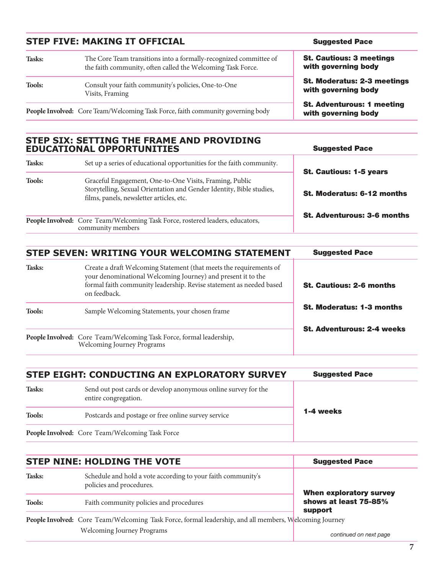| <b>STEP FIVE: MAKING IT OFFICIAL</b> |                                                                                                                                  | <b>Suggested Pace</b>                                     |
|--------------------------------------|----------------------------------------------------------------------------------------------------------------------------------|-----------------------------------------------------------|
| Tasks:                               | The Core Team transitions into a formally-recognized committee of<br>the faith community, often called the Welcoming Task Force. | <b>St. Cautious: 3 meetings</b><br>with governing body    |
| <b>Tools:</b>                        | Consult your faith community's policies, One-to-One<br>Visits, Framing                                                           | <b>St. Moderatus: 2-3 meetings</b><br>with governing body |
|                                      | People Involved: Core Team/Welcoming Task Force, faith community governing body                                                  | <b>St. Adventurous: 1 meeting</b><br>with governing body  |

# STEP SIX: SETTING THE FRAME AND PROVIDING<br>EDUCATIONAL OPPORTUNITIES

| Tasks:        | Set up a series of educational opportunities for the faith community.                                                                                                       |                                                                     |
|---------------|-----------------------------------------------------------------------------------------------------------------------------------------------------------------------------|---------------------------------------------------------------------|
| <b>Tools:</b> | Graceful Engagement, One-to-One Visits, Framing, Public<br>Storytelling, Sexual Orientation and Gender Identity, Bible studies,<br>films, panels, newsletter articles, etc. | <b>St. Cautious: 1-5 years</b><br><b>St. Moderatus: 6-12 months</b> |
|               | People Involved: Core Team/Welcoming Task Force, rostered leaders, educators,<br>community members                                                                          | <b>St. Adventurous: 3-6 months</b>                                  |

|               | <b>STEP SEVEN: WRITING YOUR WELCOMING STATEMENT</b>                                                                                                                                                                       | <b>Suggested Pace</b>             |
|---------------|---------------------------------------------------------------------------------------------------------------------------------------------------------------------------------------------------------------------------|-----------------------------------|
| Tasks:        | Create a draft Welcoming Statement (that meets the requirements of<br>your denominational Welcoming Journey) and present it to the<br>formal faith community leadership. Revise statement as needed based<br>on feedback. | <b>St. Cautious: 2-6 months</b>   |
| <b>Tools:</b> | Sample Welcoming Statements, your chosen frame                                                                                                                                                                            | <b>St. Moderatus: 1-3 months</b>  |
|               | People Involved: Core Team/Welcoming Task Force, formal leadership,<br>Welcoming Journey Programs                                                                                                                         | <b>St. Adventurous: 2-4 weeks</b> |

|               | STEP EIGHT: CONDUCTING AN EXPLORATORY SURVEY                                           | <b>Suggested Pace</b> |
|---------------|----------------------------------------------------------------------------------------|-----------------------|
| Tasks:        | Send out post cards or develop anonymous online survey for the<br>entire congregation. |                       |
| <b>Tools:</b> | Postcards and postage or free online survey service                                    | 1-4 weeks             |
|               | People Involved: Core Team/Welcoming Task Force                                        |                       |

|               | <b>STEP NINE: HOLDING THE VOTE</b>                                                                     | <b>Suggested Pace</b><br><b>When exploratory survey</b> |
|---------------|--------------------------------------------------------------------------------------------------------|---------------------------------------------------------|
| Tasks:        | Schedule and hold a vote according to your faith community's<br>policies and procedures.               |                                                         |
| <b>Tools:</b> | Faith community policies and procedures                                                                | shows at least 75-85%<br>support                        |
|               | People Involved: Core Team/Welcoming Task Force, formal leadership, and all members, Welcoming Journey |                                                         |
|               | <b>Welcoming Journey Programs</b>                                                                      | continued on now nogo                                   |

Suggested Pace